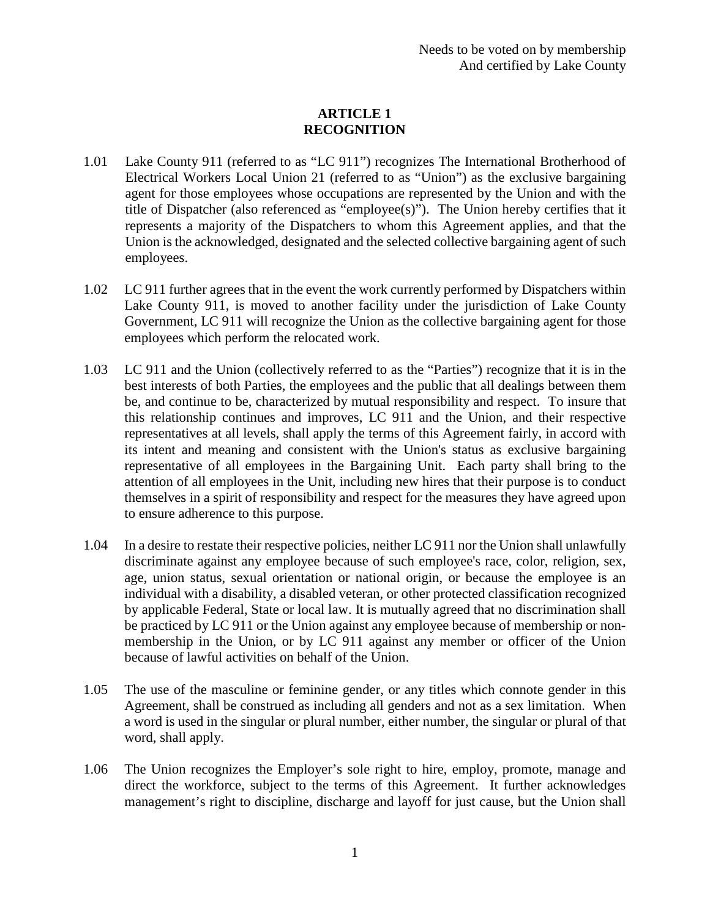# **ARTICLE 1 RECOGNITION**

- 1.01 Lake County 911 (referred to as "LC 911") recognizes The International Brotherhood of Electrical Workers Local Union 21 (referred to as "Union") as the exclusive bargaining agent for those employees whose occupations are represented by the Union and with the title of Dispatcher (also referenced as "employee(s)"). The Union hereby certifies that it represents a majority of the Dispatchers to whom this Agreement applies, and that the Union is the acknowledged, designated and the selected collective bargaining agent of such employees.
- 1.02 LC 911 further agrees that in the event the work currently performed by Dispatchers within Lake County 911, is moved to another facility under the jurisdiction of Lake County Government, LC 911 will recognize the Union as the collective bargaining agent for those employees which perform the relocated work.
- 1.03 LC 911 and the Union (collectively referred to as the "Parties") recognize that it is in the best interests of both Parties, the employees and the public that all dealings between them be, and continue to be, characterized by mutual responsibility and respect. To insure that this relationship continues and improves, LC 911 and the Union, and their respective representatives at all levels, shall apply the terms of this Agreement fairly, in accord with its intent and meaning and consistent with the Union's status as exclusive bargaining representative of all employees in the Bargaining Unit. Each party shall bring to the attention of all employees in the Unit, including new hires that their purpose is to conduct themselves in a spirit of responsibility and respect for the measures they have agreed upon to ensure adherence to this purpose.
- 1.04 In a desire to restate their respective policies, neither LC 911 nor the Union shall unlawfully discriminate against any employee because of such employee's race, color, religion, sex, age, union status, sexual orientation or national origin, or because the employee is an individual with a disability, a disabled veteran, or other protected classification recognized by applicable Federal, State or local law. It is mutually agreed that no discrimination shall be practiced by LC 911 or the Union against any employee because of membership or nonmembership in the Union, or by LC 911 against any member or officer of the Union because of lawful activities on behalf of the Union.
- 1.05 The use of the masculine or feminine gender, or any titles which connote gender in this Agreement, shall be construed as including all genders and not as a sex limitation. When a word is used in the singular or plural number, either number, the singular or plural of that word, shall apply.
- 1.06 The Union recognizes the Employer's sole right to hire, employ, promote, manage and direct the workforce, subject to the terms of this Agreement. It further acknowledges management's right to discipline, discharge and layoff for just cause, but the Union shall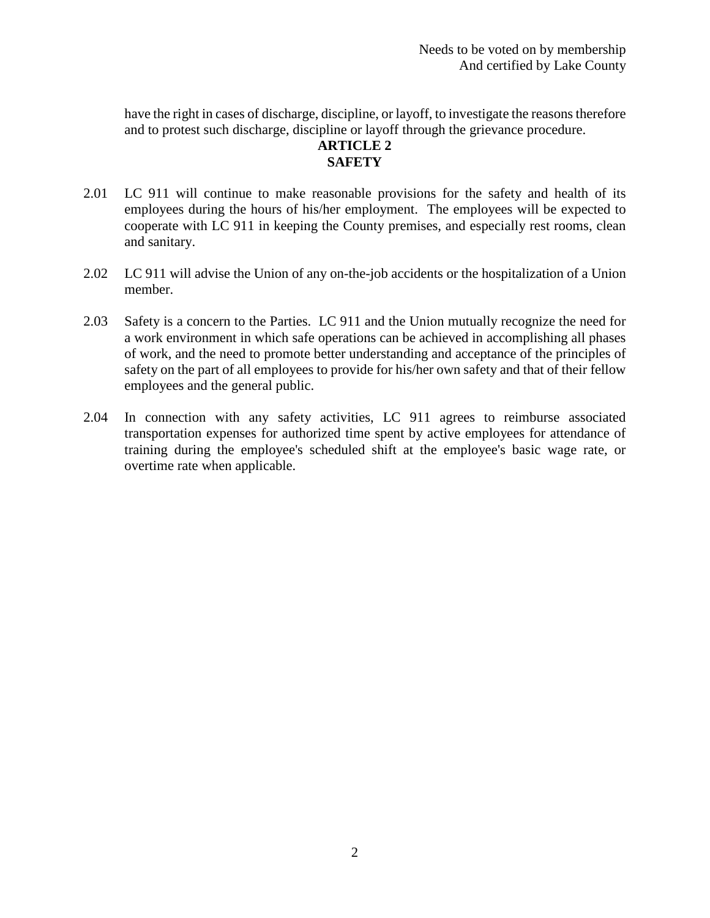have the right in cases of discharge, discipline, or layoff, to investigate the reasons therefore and to protest such discharge, discipline or layoff through the grievance procedure.

## **ARTICLE 2 SAFETY**

- 2.01 LC 911 will continue to make reasonable provisions for the safety and health of its employees during the hours of his/her employment. The employees will be expected to cooperate with LC 911 in keeping the County premises, and especially rest rooms, clean and sanitary.
- 2.02 LC 911 will advise the Union of any on-the-job accidents or the hospitalization of a Union member.
- 2.03 Safety is a concern to the Parties. LC 911 and the Union mutually recognize the need for a work environment in which safe operations can be achieved in accomplishing all phases of work, and the need to promote better understanding and acceptance of the principles of safety on the part of all employees to provide for his/her own safety and that of their fellow employees and the general public.
- 2.04 In connection with any safety activities, LC 911 agrees to reimburse associated transportation expenses for authorized time spent by active employees for attendance of training during the employee's scheduled shift at the employee's basic wage rate, or overtime rate when applicable.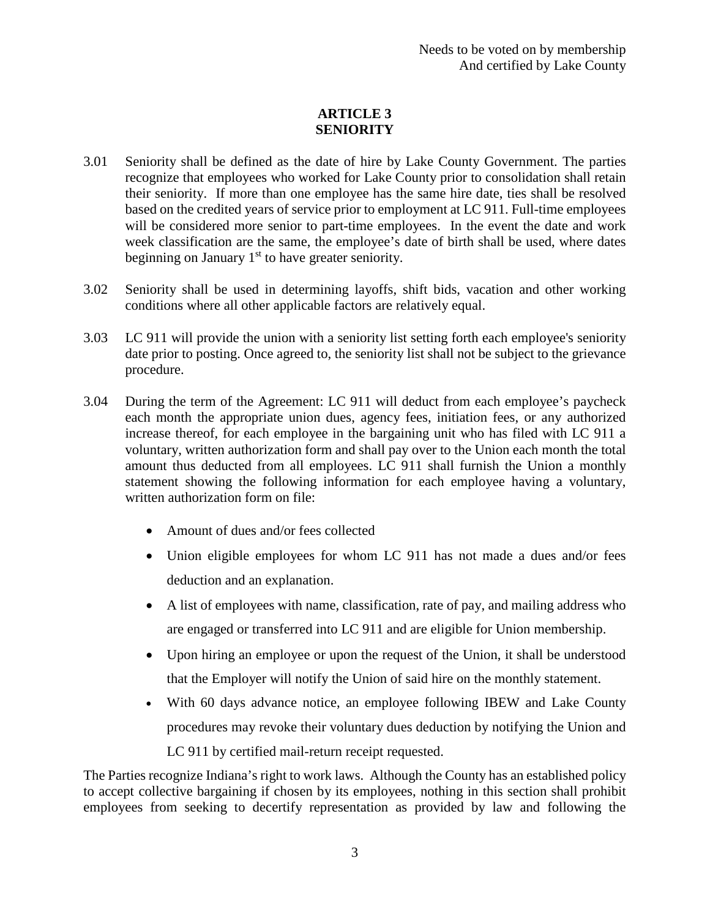# **ARTICLE 3 SENIORITY**

- 3.01 Seniority shall be defined as the date of hire by Lake County Government. The parties recognize that employees who worked for Lake County prior to consolidation shall retain their seniority. If more than one employee has the same hire date, ties shall be resolved based on the credited years of service prior to employment at LC 911. Full-time employees will be considered more senior to part-time employees. In the event the date and work week classification are the same, the employee's date of birth shall be used, where dates beginning on January  $1<sup>st</sup>$  to have greater seniority.
- 3.02 Seniority shall be used in determining layoffs, shift bids, vacation and other working conditions where all other applicable factors are relatively equal.
- 3.03 LC 911 will provide the union with a seniority list setting forth each employee's seniority date prior to posting. Once agreed to, the seniority list shall not be subject to the grievance procedure.
- 3.04 During the term of the Agreement: LC 911 will deduct from each employee's paycheck each month the appropriate union dues, agency fees, initiation fees, or any authorized increase thereof, for each employee in the bargaining unit who has filed with LC 911 a voluntary, written authorization form and shall pay over to the Union each month the total amount thus deducted from all employees. LC 911 shall furnish the Union a monthly statement showing the following information for each employee having a voluntary, written authorization form on file:
	- Amount of dues and/or fees collected
	- Union eligible employees for whom LC 911 has not made a dues and/or fees deduction and an explanation.
	- A list of employees with name, classification, rate of pay, and mailing address who are engaged or transferred into LC 911 and are eligible for Union membership.
	- Upon hiring an employee or upon the request of the Union, it shall be understood that the Employer will notify the Union of said hire on the monthly statement.
	- With 60 days advance notice, an employee following IBEW and Lake County procedures may revoke their voluntary dues deduction by notifying the Union and LC 911 by certified mail-return receipt requested.

The Parties recognize Indiana's right to work laws. Although the County has an established policy to accept collective bargaining if chosen by its employees, nothing in this section shall prohibit employees from seeking to decertify representation as provided by law and following the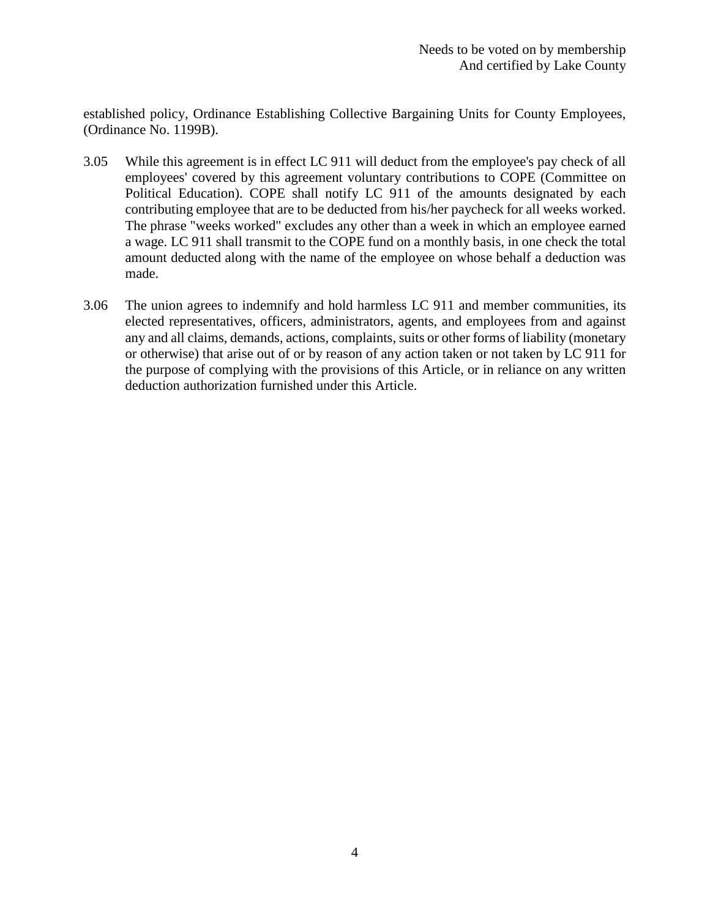established policy, Ordinance Establishing Collective Bargaining Units for County Employees, (Ordinance No. 1199B).

- 3.05 While this agreement is in effect LC 911 will deduct from the employee's pay check of all employees' covered by this agreement voluntary contributions to COPE (Committee on Political Education). COPE shall notify LC 911 of the amounts designated by each contributing employee that are to be deducted from his/her paycheck for all weeks worked. The phrase "weeks worked" excludes any other than a week in which an employee earned a wage. LC 911 shall transmit to the COPE fund on a monthly basis, in one check the total amount deducted along with the name of the employee on whose behalf a deduction was made.
- 3.06 The union agrees to indemnify and hold harmless LC 911 and member communities, its elected representatives, officers, administrators, agents, and employees from and against any and all claims, demands, actions, complaints, suits or other forms of liability (monetary or otherwise) that arise out of or by reason of any action taken or not taken by LC 911 for the purpose of complying with the provisions of this Article, or in reliance on any written deduction authorization furnished under this Article.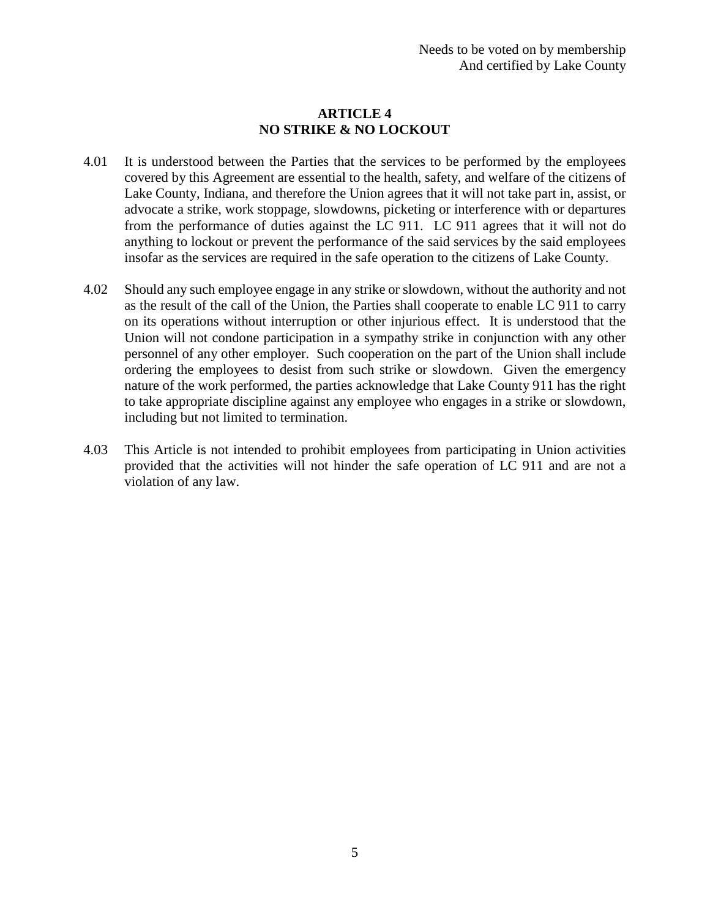## **ARTICLE 4 NO STRIKE & NO LOCKOUT**

- 4.01 It is understood between the Parties that the services to be performed by the employees covered by this Agreement are essential to the health, safety, and welfare of the citizens of Lake County, Indiana, and therefore the Union agrees that it will not take part in, assist, or advocate a strike, work stoppage, slowdowns, picketing or interference with or departures from the performance of duties against the LC 911. LC 911 agrees that it will not do anything to lockout or prevent the performance of the said services by the said employees insofar as the services are required in the safe operation to the citizens of Lake County.
- 4.02 Should any such employee engage in any strike or slowdown, without the authority and not as the result of the call of the Union, the Parties shall cooperate to enable LC 911 to carry on its operations without interruption or other injurious effect. It is understood that the Union will not condone participation in a sympathy strike in conjunction with any other personnel of any other employer. Such cooperation on the part of the Union shall include ordering the employees to desist from such strike or slowdown. Given the emergency nature of the work performed, the parties acknowledge that Lake County 911 has the right to take appropriate discipline against any employee who engages in a strike or slowdown, including but not limited to termination.
- 4.03 This Article is not intended to prohibit employees from participating in Union activities provided that the activities will not hinder the safe operation of LC 911 and are not a violation of any law.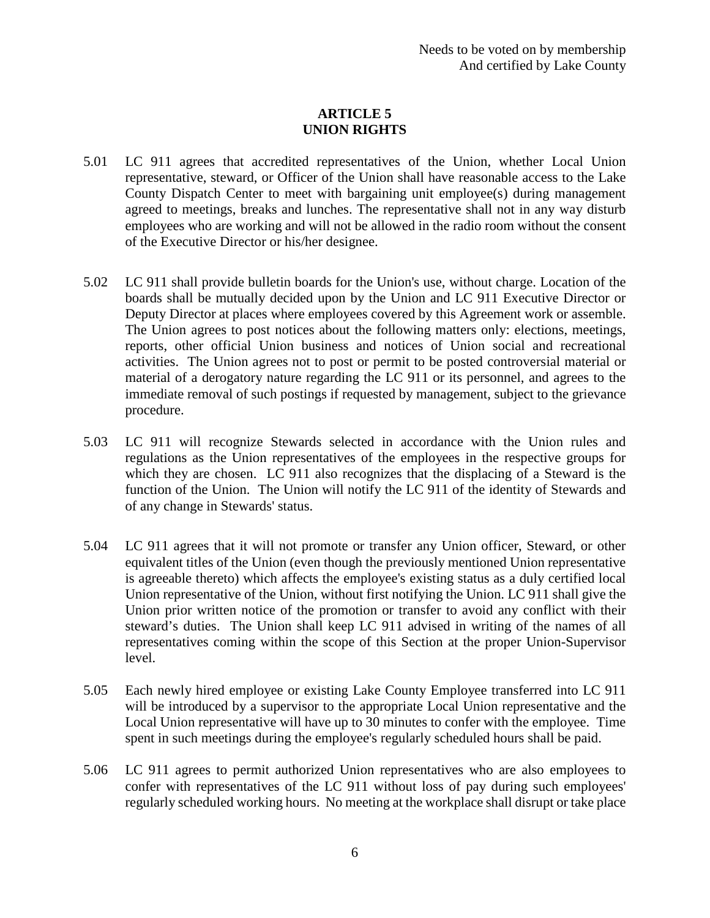# **ARTICLE 5 UNION RIGHTS**

- 5.01 LC 911 agrees that accredited representatives of the Union, whether Local Union representative, steward, or Officer of the Union shall have reasonable access to the Lake County Dispatch Center to meet with bargaining unit employee(s) during management agreed to meetings, breaks and lunches. The representative shall not in any way disturb employees who are working and will not be allowed in the radio room without the consent of the Executive Director or his/her designee.
- 5.02 LC 911 shall provide bulletin boards for the Union's use, without charge. Location of the boards shall be mutually decided upon by the Union and LC 911 Executive Director or Deputy Director at places where employees covered by this Agreement work or assemble. The Union agrees to post notices about the following matters only: elections, meetings, reports, other official Union business and notices of Union social and recreational activities. The Union agrees not to post or permit to be posted controversial material or material of a derogatory nature regarding the LC 911 or its personnel, and agrees to the immediate removal of such postings if requested by management, subject to the grievance procedure.
- 5.03 LC 911 will recognize Stewards selected in accordance with the Union rules and regulations as the Union representatives of the employees in the respective groups for which they are chosen. LC 911 also recognizes that the displacing of a Steward is the function of the Union. The Union will notify the LC 911 of the identity of Stewards and of any change in Stewards' status.
- 5.04 LC 911 agrees that it will not promote or transfer any Union officer, Steward, or other equivalent titles of the Union (even though the previously mentioned Union representative is agreeable thereto) which affects the employee's existing status as a duly certified local Union representative of the Union, without first notifying the Union. LC 911 shall give the Union prior written notice of the promotion or transfer to avoid any conflict with their steward's duties. The Union shall keep LC 911 advised in writing of the names of all representatives coming within the scope of this Section at the proper Union-Supervisor level.
- 5.05 Each newly hired employee or existing Lake County Employee transferred into LC 911 will be introduced by a supervisor to the appropriate Local Union representative and the Local Union representative will have up to 30 minutes to confer with the employee. Time spent in such meetings during the employee's regularly scheduled hours shall be paid.
- 5.06 LC 911 agrees to permit authorized Union representatives who are also employees to confer with representatives of the LC 911 without loss of pay during such employees' regularly scheduled working hours. No meeting at the workplace shall disrupt or take place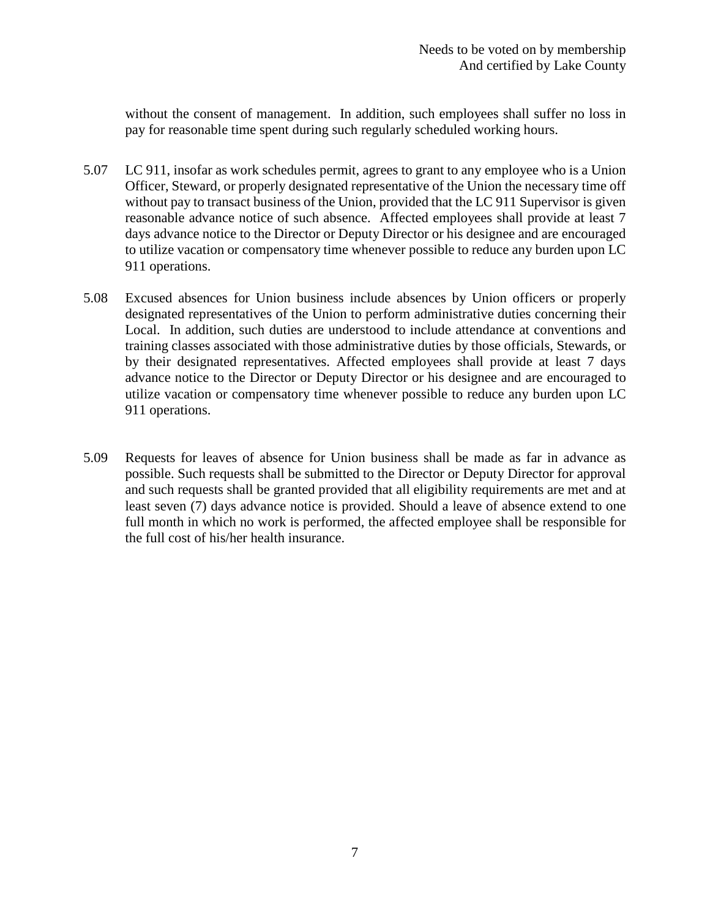without the consent of management. In addition, such employees shall suffer no loss in pay for reasonable time spent during such regularly scheduled working hours.

- 5.07 LC 911, insofar as work schedules permit, agrees to grant to any employee who is a Union Officer, Steward, or properly designated representative of the Union the necessary time off without pay to transact business of the Union, provided that the LC 911 Supervisor is given reasonable advance notice of such absence. Affected employees shall provide at least 7 days advance notice to the Director or Deputy Director or his designee and are encouraged to utilize vacation or compensatory time whenever possible to reduce any burden upon LC 911 operations.
- 5.08 Excused absences for Union business include absences by Union officers or properly designated representatives of the Union to perform administrative duties concerning their Local. In addition, such duties are understood to include attendance at conventions and training classes associated with those administrative duties by those officials, Stewards, or by their designated representatives. Affected employees shall provide at least 7 days advance notice to the Director or Deputy Director or his designee and are encouraged to utilize vacation or compensatory time whenever possible to reduce any burden upon LC 911 operations.
- 5.09 Requests for leaves of absence for Union business shall be made as far in advance as possible. Such requests shall be submitted to the Director or Deputy Director for approval and such requests shall be granted provided that all eligibility requirements are met and at least seven (7) days advance notice is provided. Should a leave of absence extend to one full month in which no work is performed, the affected employee shall be responsible for the full cost of his/her health insurance.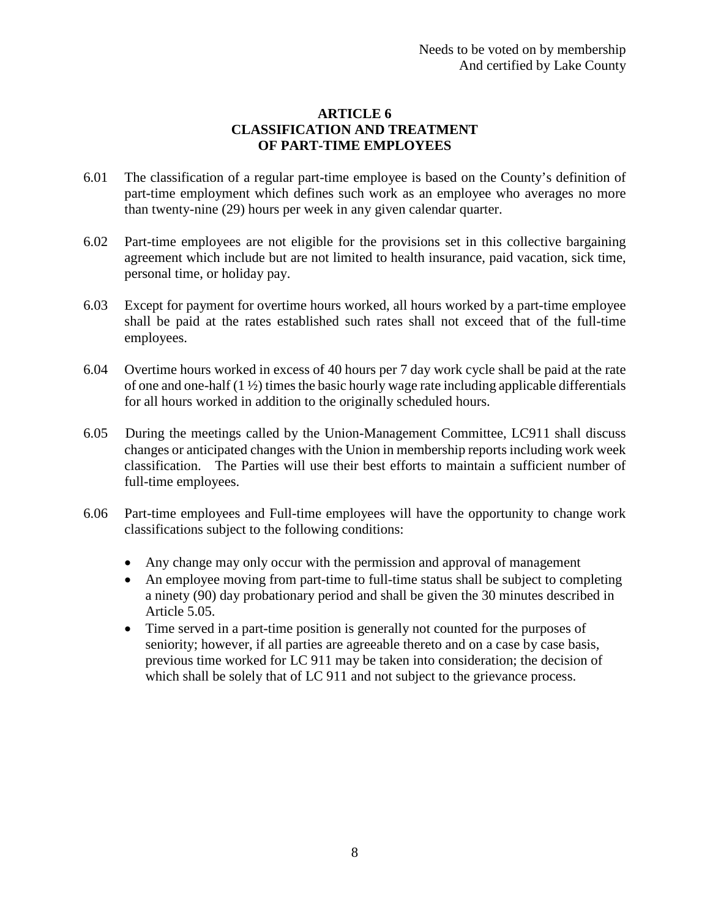## **ARTICLE 6 CLASSIFICATION AND TREATMENT OF PART-TIME EMPLOYEES**

- 6.01 The classification of a regular part-time employee is based on the County's definition of part-time employment which defines such work as an employee who averages no more than twenty-nine (29) hours per week in any given calendar quarter.
- 6.02 Part-time employees are not eligible for the provisions set in this collective bargaining agreement which include but are not limited to health insurance, paid vacation, sick time, personal time, or holiday pay.
- 6.03 Except for payment for overtime hours worked, all hours worked by a part-time employee shall be paid at the rates established such rates shall not exceed that of the full-time employees.
- 6.04 Overtime hours worked in excess of 40 hours per 7 day work cycle shall be paid at the rate of one and one-half (1 ½) times the basic hourly wage rate including applicable differentials for all hours worked in addition to the originally scheduled hours.
- 6.05 During the meetings called by the Union-Management Committee, LC911 shall discuss changes or anticipated changes with the Union in membership reports including work week classification. The Parties will use their best efforts to maintain a sufficient number of full-time employees.
- 6.06 Part-time employees and Full-time employees will have the opportunity to change work classifications subject to the following conditions:
	- Any change may only occur with the permission and approval of management
	- An employee moving from part-time to full-time status shall be subject to completing a ninety (90) day probationary period and shall be given the 30 minutes described in Article 5.05.
	- Time served in a part-time position is generally not counted for the purposes of seniority; however, if all parties are agreeable thereto and on a case by case basis, previous time worked for LC 911 may be taken into consideration; the decision of which shall be solely that of LC 911 and not subject to the grievance process.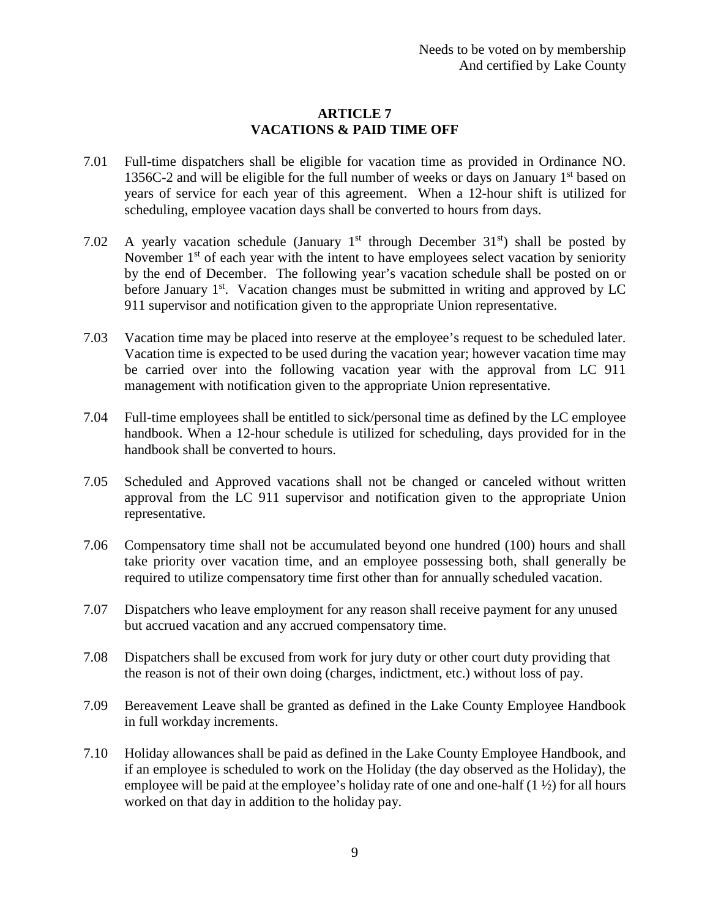## **ARTICLE 7 VACATIONS & PAID TIME OFF**

- 7.01 Full-time dispatchers shall be eligible for vacation time as provided in Ordinance NO. 1356C-2 and will be eligible for the full number of weeks or days on January  $1<sup>st</sup>$  based on years of service for each year of this agreement. When a 12-hour shift is utilized for scheduling, employee vacation days shall be converted to hours from days.
- 7.02 A yearly vacation schedule (January  $1<sup>st</sup>$  through December  $31<sup>st</sup>$ ) shall be posted by November  $1<sup>st</sup>$  of each year with the intent to have employees select vacation by seniority by the end of December. The following year's vacation schedule shall be posted on or before January  $1<sup>st</sup>$ . Vacation changes must be submitted in writing and approved by LC 911 supervisor and notification given to the appropriate Union representative.
- 7.03 Vacation time may be placed into reserve at the employee's request to be scheduled later. Vacation time is expected to be used during the vacation year; however vacation time may be carried over into the following vacation year with the approval from LC 911 management with notification given to the appropriate Union representative.
- 7.04 Full-time employees shall be entitled to sick/personal time as defined by the LC employee handbook. When a 12-hour schedule is utilized for scheduling, days provided for in the handbook shall be converted to hours.
- 7.05 Scheduled and Approved vacations shall not be changed or canceled without written approval from the LC 911 supervisor and notification given to the appropriate Union representative.
- 7.06 Compensatory time shall not be accumulated beyond one hundred (100) hours and shall take priority over vacation time, and an employee possessing both, shall generally be required to utilize compensatory time first other than for annually scheduled vacation.
- 7.07 Dispatchers who leave employment for any reason shall receive payment for any unused but accrued vacation and any accrued compensatory time.
- 7.08 Dispatchers shall be excused from work for jury duty or other court duty providing that the reason is not of their own doing (charges, indictment, etc.) without loss of pay.
- 7.09 Bereavement Leave shall be granted as defined in the Lake County Employee Handbook in full workday increments.
- 7.10 Holiday allowances shall be paid as defined in the Lake County Employee Handbook, and if an employee is scheduled to work on the Holiday (the day observed as the Holiday), the employee will be paid at the employee's holiday rate of one and one-half (1 ½) for all hours worked on that day in addition to the holiday pay.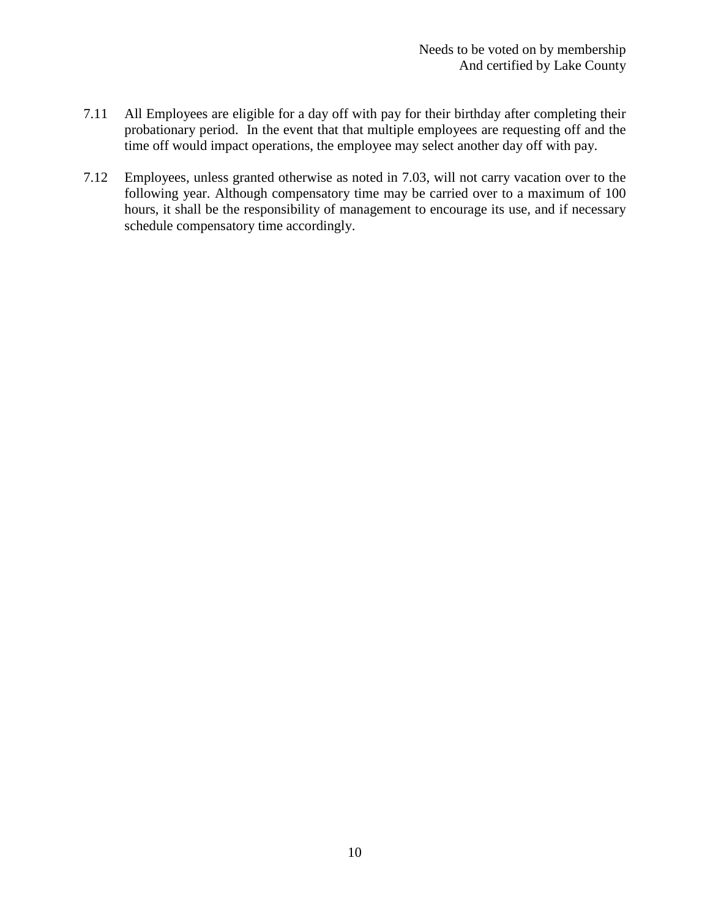- 7.11 All Employees are eligible for a day off with pay for their birthday after completing their probationary period. In the event that that multiple employees are requesting off and the time off would impact operations, the employee may select another day off with pay.
- 7.12 Employees, unless granted otherwise as noted in 7.03, will not carry vacation over to the following year. Although compensatory time may be carried over to a maximum of 100 hours, it shall be the responsibility of management to encourage its use, and if necessary schedule compensatory time accordingly.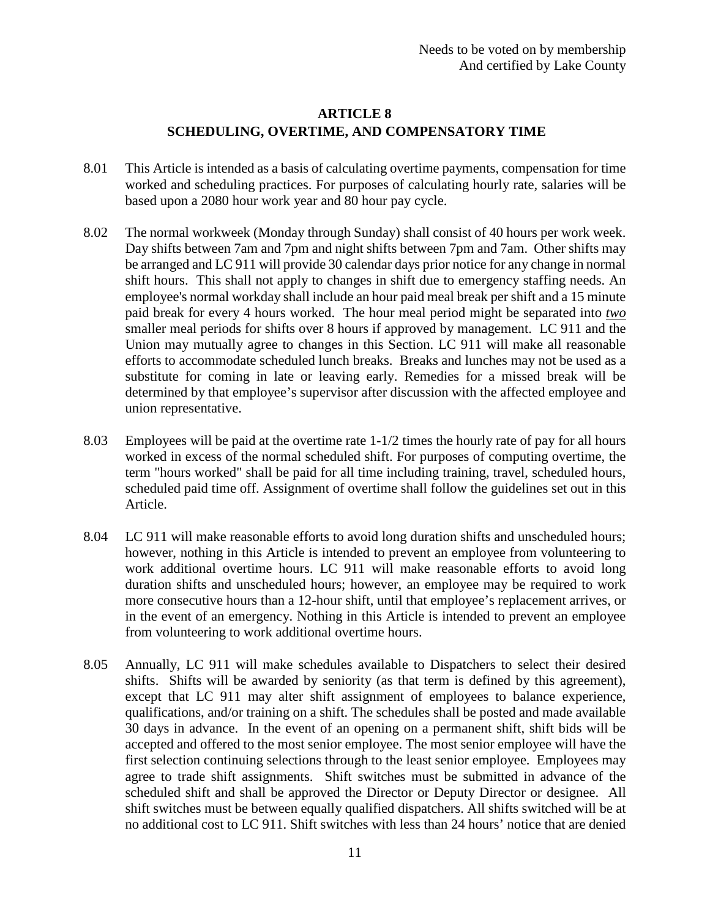## **ARTICLE 8 SCHEDULING, OVERTIME, AND COMPENSATORY TIME**

- 8.01 This Article is intended as a basis of calculating overtime payments, compensation for time worked and scheduling practices. For purposes of calculating hourly rate, salaries will be based upon a 2080 hour work year and 80 hour pay cycle.
- 8.02 The normal workweek (Monday through Sunday) shall consist of 40 hours per work week. Day shifts between 7am and 7pm and night shifts between 7pm and 7am. Other shifts may be arranged and LC 911 will provide 30 calendar days prior notice for any change in normal shift hours. This shall not apply to changes in shift due to emergency staffing needs. An employee's normal workday shall include an hour paid meal break per shift and a 15 minute paid break for every 4 hours worked. The hour meal period might be separated into *two* smaller meal periods for shifts over 8 hours if approved by management. LC 911 and the Union may mutually agree to changes in this Section. LC 911 will make all reasonable efforts to accommodate scheduled lunch breaks. Breaks and lunches may not be used as a substitute for coming in late or leaving early. Remedies for a missed break will be determined by that employee's supervisor after discussion with the affected employee and union representative.
- 8.03 Employees will be paid at the overtime rate 1-1/2 times the hourly rate of pay for all hours worked in excess of the normal scheduled shift. For purposes of computing overtime, the term "hours worked" shall be paid for all time including training, travel, scheduled hours, scheduled paid time off. Assignment of overtime shall follow the guidelines set out in this Article.
- 8.04 LC 911 will make reasonable efforts to avoid long duration shifts and unscheduled hours; however, nothing in this Article is intended to prevent an employee from volunteering to work additional overtime hours. LC 911 will make reasonable efforts to avoid long duration shifts and unscheduled hours; however, an employee may be required to work more consecutive hours than a 12-hour shift, until that employee's replacement arrives, or in the event of an emergency. Nothing in this Article is intended to prevent an employee from volunteering to work additional overtime hours.
- 8.05 Annually, LC 911 will make schedules available to Dispatchers to select their desired shifts. Shifts will be awarded by seniority (as that term is defined by this agreement), except that LC 911 may alter shift assignment of employees to balance experience, qualifications, and/or training on a shift. The schedules shall be posted and made available 30 days in advance. In the event of an opening on a permanent shift, shift bids will be accepted and offered to the most senior employee. The most senior employee will have the first selection continuing selections through to the least senior employee. Employees may agree to trade shift assignments. Shift switches must be submitted in advance of the scheduled shift and shall be approved the Director or Deputy Director or designee. All shift switches must be between equally qualified dispatchers. All shifts switched will be at no additional cost to LC 911. Shift switches with less than 24 hours' notice that are denied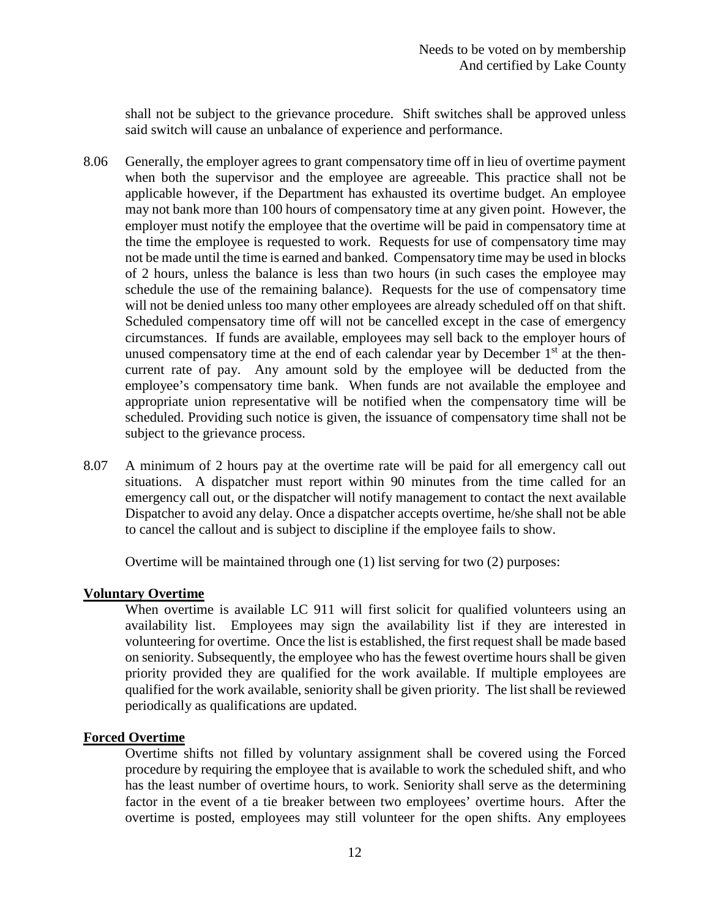shall not be subject to the grievance procedure. Shift switches shall be approved unless said switch will cause an unbalance of experience and performance.

- 8.06 Generally, the employer agrees to grant compensatory time off in lieu of overtime payment when both the supervisor and the employee are agreeable. This practice shall not be applicable however, if the Department has exhausted its overtime budget. An employee may not bank more than 100 hours of compensatory time at any given point. However, the employer must notify the employee that the overtime will be paid in compensatory time at the time the employee is requested to work. Requests for use of compensatory time may not be made until the time is earned and banked. Compensatory time may be used in blocks of 2 hours, unless the balance is less than two hours (in such cases the employee may schedule the use of the remaining balance). Requests for the use of compensatory time will not be denied unless too many other employees are already scheduled off on that shift. Scheduled compensatory time off will not be cancelled except in the case of emergency circumstances. If funds are available, employees may sell back to the employer hours of unused compensatory time at the end of each calendar year by December  $1<sup>st</sup>$  at the thencurrent rate of pay. Any amount sold by the employee will be deducted from the employee's compensatory time bank. When funds are not available the employee and appropriate union representative will be notified when the compensatory time will be scheduled. Providing such notice is given, the issuance of compensatory time shall not be subject to the grievance process.
- 8.07 A minimum of 2 hours pay at the overtime rate will be paid for all emergency call out situations. A dispatcher must report within 90 minutes from the time called for an emergency call out, or the dispatcher will notify management to contact the next available Dispatcher to avoid any delay. Once a dispatcher accepts overtime, he/she shall not be able to cancel the callout and is subject to discipline if the employee fails to show.

Overtime will be maintained through one (1) list serving for two (2) purposes:

#### **Voluntary Overtime**

When overtime is available LC 911 will first solicit for qualified volunteers using an availability list. Employees may sign the availability list if they are interested in volunteering for overtime. Once the list is established, the first request shall be made based on seniority. Subsequently, the employee who has the fewest overtime hours shall be given priority provided they are qualified for the work available. If multiple employees are qualified for the work available, seniority shall be given priority. The list shall be reviewed periodically as qualifications are updated.

#### **Forced Overtime**

Overtime shifts not filled by voluntary assignment shall be covered using the Forced procedure by requiring the employee that is available to work the scheduled shift, and who has the least number of overtime hours, to work. Seniority shall serve as the determining factor in the event of a tie breaker between two employees' overtime hours. After the overtime is posted, employees may still volunteer for the open shifts. Any employees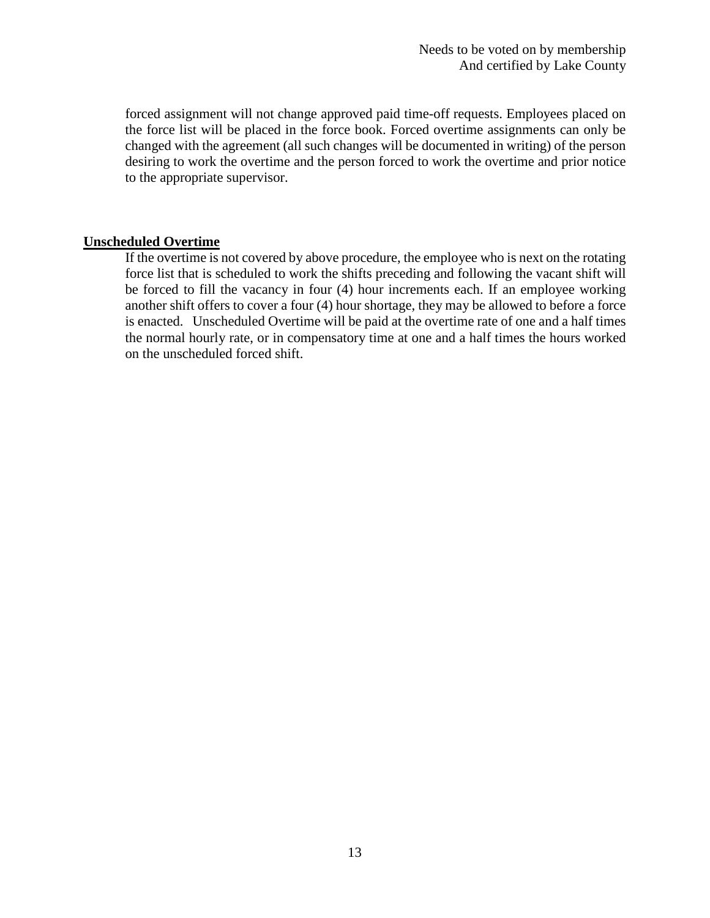forced assignment will not change approved paid time-off requests. Employees placed on the force list will be placed in the force book. Forced overtime assignments can only be changed with the agreement (all such changes will be documented in writing) of the person desiring to work the overtime and the person forced to work the overtime and prior notice to the appropriate supervisor.

#### **Unscheduled Overtime**

If the overtime is not covered by above procedure, the employee who is next on the rotating force list that is scheduled to work the shifts preceding and following the vacant shift will be forced to fill the vacancy in four (4) hour increments each. If an employee working another shift offers to cover a four (4) hour shortage, they may be allowed to before a force is enacted. Unscheduled Overtime will be paid at the overtime rate of one and a half times the normal hourly rate, or in compensatory time at one and a half times the hours worked on the unscheduled forced shift.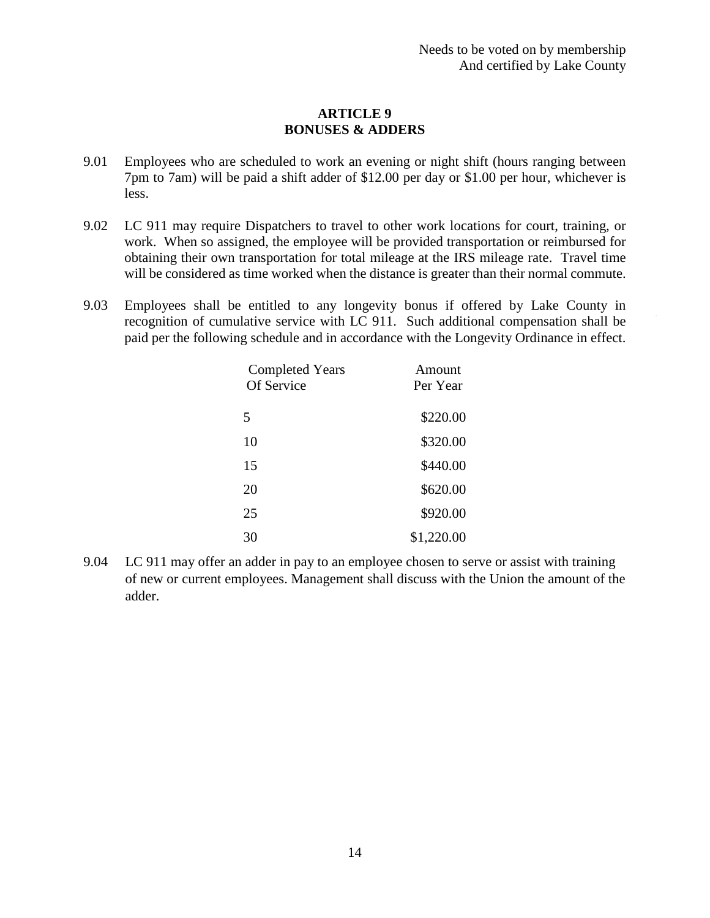### **ARTICLE 9 BONUSES & ADDERS**

- 9.01 Employees who are scheduled to work an evening or night shift (hours ranging between 7pm to 7am) will be paid a shift adder of \$12.00 per day or \$1.00 per hour, whichever is less.
- 9.02 LC 911 may require Dispatchers to travel to other work locations for court, training, or work. When so assigned, the employee will be provided transportation or reimbursed for obtaining their own transportation for total mileage at the IRS mileage rate. Travel time will be considered as time worked when the distance is greater than their normal commute.
- 9.03 Employees shall be entitled to any longevity bonus if offered by Lake County in recognition of cumulative service with LC 911. Such additional compensation shall be paid per the following schedule and in accordance with the Longevity Ordinance in effect.

| <b>Completed Years</b><br>Of Service | Amount<br>Per Year |
|--------------------------------------|--------------------|
| 5                                    | \$220.00           |
| 10                                   | \$320.00           |
| 15                                   | \$440.00           |
| 20                                   | \$620.00           |
| 25                                   | \$920.00           |
| 30                                   | \$1,220.00         |

9.04 LC 911 may offer an adder in pay to an employee chosen to serve or assist with training of new or current employees. Management shall discuss with the Union the amount of the adder.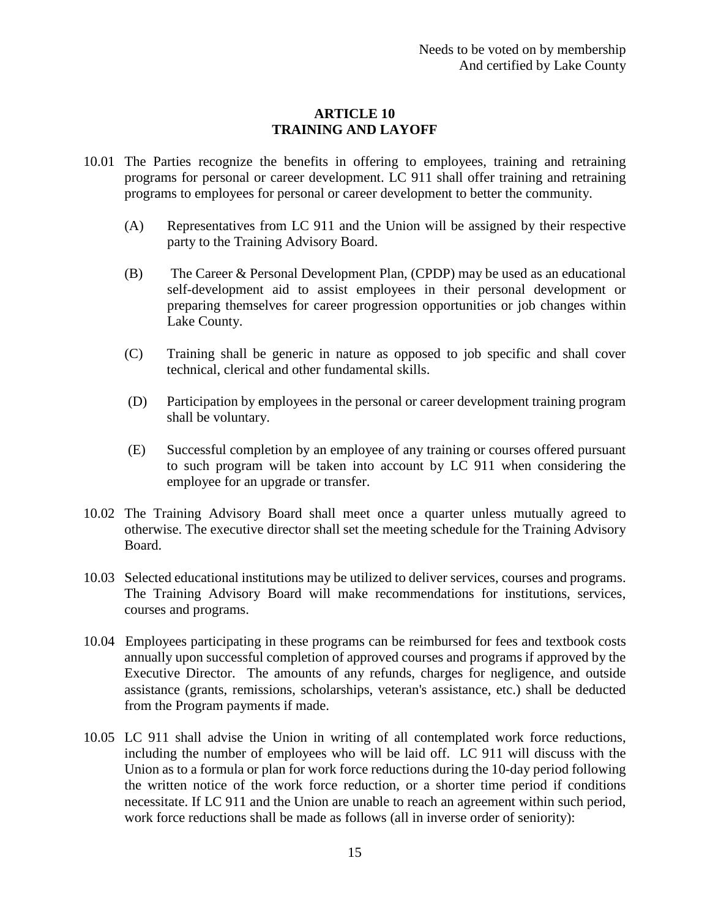## **ARTICLE 10 TRAINING AND LAYOFF**

- 10.01 The Parties recognize the benefits in offering to employees, training and retraining programs for personal or career development. LC 911 shall offer training and retraining programs to employees for personal or career development to better the community.
	- (A) Representatives from LC 911 and the Union will be assigned by their respective party to the Training Advisory Board.
	- (B) The Career & Personal Development Plan, (CPDP) may be used as an educational self-development aid to assist employees in their personal development or preparing themselves for career progression opportunities or job changes within Lake County.
	- (C) Training shall be generic in nature as opposed to job specific and shall cover technical, clerical and other fundamental skills.
	- (D) Participation by employees in the personal or career development training program shall be voluntary.
	- (E) Successful completion by an employee of any training or courses offered pursuant to such program will be taken into account by LC 911 when considering the employee for an upgrade or transfer.
- 10.02 The Training Advisory Board shall meet once a quarter unless mutually agreed to otherwise. The executive director shall set the meeting schedule for the Training Advisory Board.
- 10.03 Selected educational institutions may be utilized to deliver services, courses and programs. The Training Advisory Board will make recommendations for institutions, services, courses and programs.
- 10.04 Employees participating in these programs can be reimbursed for fees and textbook costs annually upon successful completion of approved courses and programs if approved by the Executive Director. The amounts of any refunds, charges for negligence, and outside assistance (grants, remissions, scholarships, veteran's assistance, etc.) shall be deducted from the Program payments if made.
- 10.05 LC 911 shall advise the Union in writing of all contemplated work force reductions, including the number of employees who will be laid off. LC 911 will discuss with the Union as to a formula or plan for work force reductions during the 10-day period following the written notice of the work force reduction, or a shorter time period if conditions necessitate. If LC 911 and the Union are unable to reach an agreement within such period, work force reductions shall be made as follows (all in inverse order of seniority):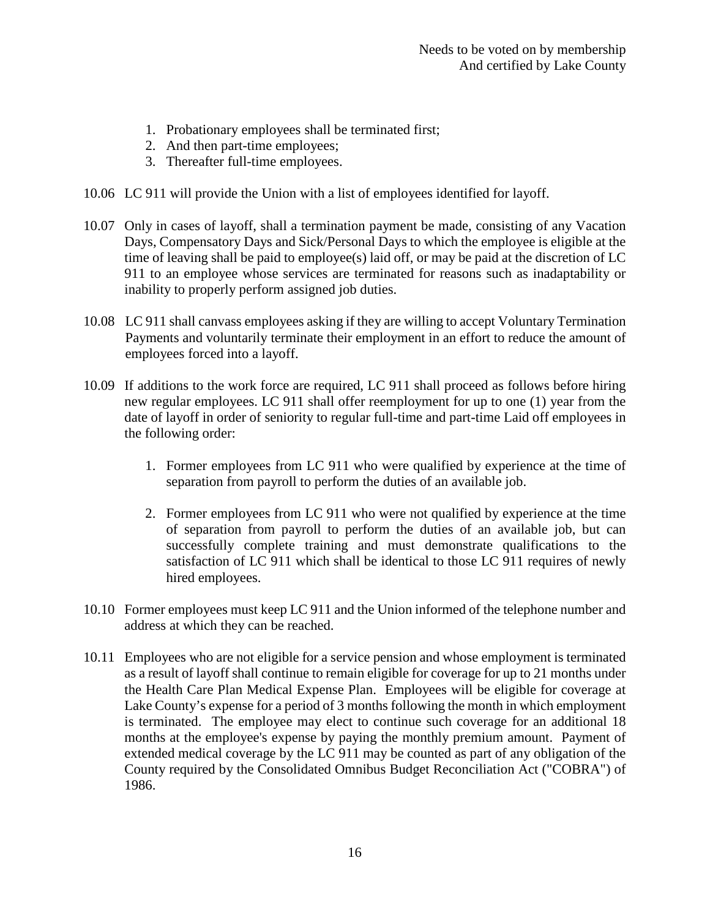- 1. Probationary employees shall be terminated first;
- 2. And then part-time employees;
- 3. Thereafter full-time employees.
- 10.06 LC 911 will provide the Union with a list of employees identified for layoff.
- 10.07 Only in cases of layoff, shall a termination payment be made, consisting of any Vacation Days, Compensatory Days and Sick/Personal Days to which the employee is eligible at the time of leaving shall be paid to employee(s) laid off, or may be paid at the discretion of LC 911 to an employee whose services are terminated for reasons such as inadaptability or inability to properly perform assigned job duties.
- 10.08 LC 911 shall canvass employees asking if they are willing to accept Voluntary Termination Payments and voluntarily terminate their employment in an effort to reduce the amount of employees forced into a layoff.
- 10.09 If additions to the work force are required, LC 911 shall proceed as follows before hiring new regular employees. LC 911 shall offer reemployment for up to one (1) year from the date of layoff in order of seniority to regular full-time and part-time Laid off employees in the following order:
	- 1. Former employees from LC 911 who were qualified by experience at the time of separation from payroll to perform the duties of an available job.
	- 2. Former employees from LC 911 who were not qualified by experience at the time of separation from payroll to perform the duties of an available job, but can successfully complete training and must demonstrate qualifications to the satisfaction of LC 911 which shall be identical to those LC 911 requires of newly hired employees.
- 10.10 Former employees must keep LC 911 and the Union informed of the telephone number and address at which they can be reached.
- 10.11 Employees who are not eligible for a service pension and whose employment is terminated as a result of layoff shall continue to remain eligible for coverage for up to 21 months under the Health Care Plan Medical Expense Plan. Employees will be eligible for coverage at Lake County's expense for a period of 3 months following the month in which employment is terminated. The employee may elect to continue such coverage for an additional 18 months at the employee's expense by paying the monthly premium amount. Payment of extended medical coverage by the LC 911 may be counted as part of any obligation of the County required by the Consolidated Omnibus Budget Reconciliation Act ("COBRA") of 1986.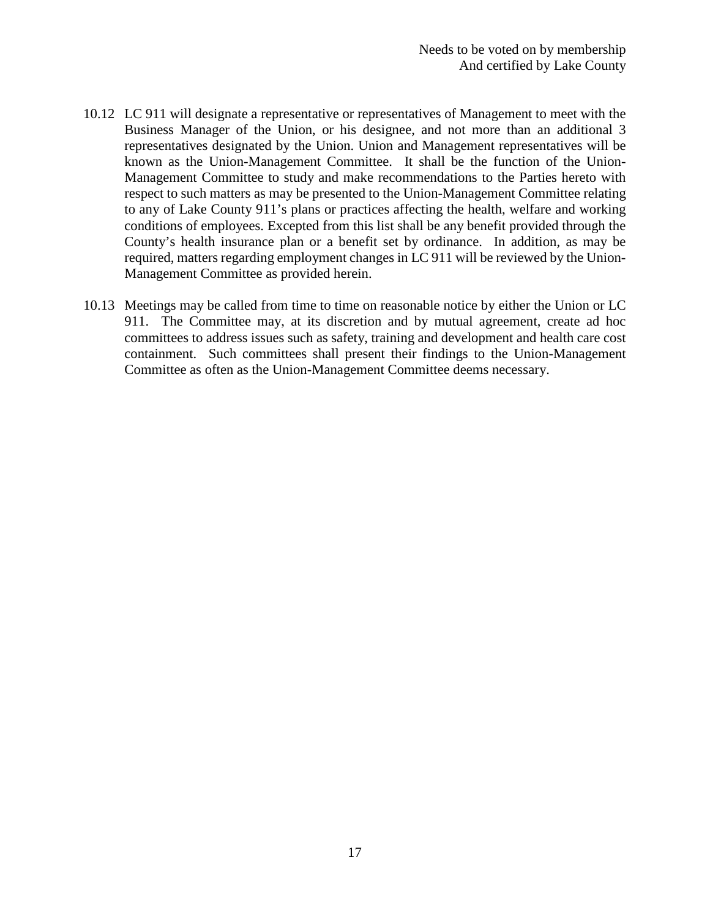- 10.12 LC 911 will designate a representative or representatives of Management to meet with the Business Manager of the Union, or his designee, and not more than an additional 3 representatives designated by the Union. Union and Management representatives will be known as the Union-Management Committee. It shall be the function of the Union-Management Committee to study and make recommendations to the Parties hereto with respect to such matters as may be presented to the Union-Management Committee relating to any of Lake County 911's plans or practices affecting the health, welfare and working conditions of employees. Excepted from this list shall be any benefit provided through the County's health insurance plan or a benefit set by ordinance. In addition, as may be required, matters regarding employment changes in LC 911 will be reviewed by the Union-Management Committee as provided herein.
- 10.13 Meetings may be called from time to time on reasonable notice by either the Union or LC 911. The Committee may, at its discretion and by mutual agreement, create ad hoc committees to address issues such as safety, training and development and health care cost containment. Such committees shall present their findings to the Union-Management Committee as often as the Union-Management Committee deems necessary.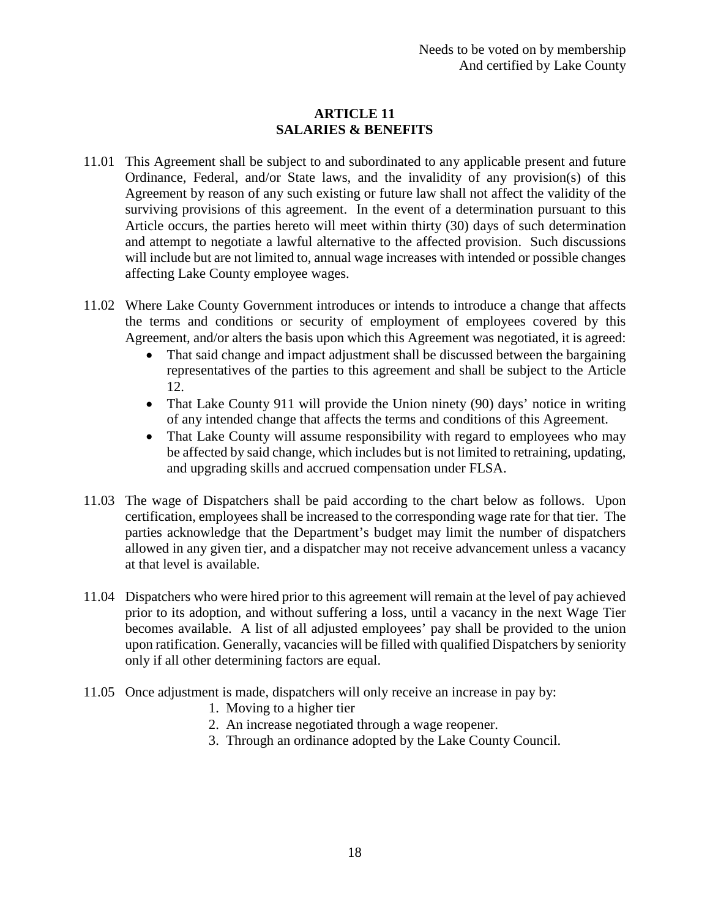# **ARTICLE 11 SALARIES & BENEFITS**

- 11.01 This Agreement shall be subject to and subordinated to any applicable present and future Ordinance, Federal, and/or State laws, and the invalidity of any provision(s) of this Agreement by reason of any such existing or future law shall not affect the validity of the surviving provisions of this agreement. In the event of a determination pursuant to this Article occurs, the parties hereto will meet within thirty (30) days of such determination and attempt to negotiate a lawful alternative to the affected provision. Such discussions will include but are not limited to, annual wage increases with intended or possible changes affecting Lake County employee wages.
- 11.02 Where Lake County Government introduces or intends to introduce a change that affects the terms and conditions or security of employment of employees covered by this Agreement, and/or alters the basis upon which this Agreement was negotiated, it is agreed:
	- That said change and impact adjustment shall be discussed between the bargaining representatives of the parties to this agreement and shall be subject to the Article 12.
	- That Lake County 911 will provide the Union ninety (90) days' notice in writing of any intended change that affects the terms and conditions of this Agreement.
	- That Lake County will assume responsibility with regard to employees who may be affected by said change, which includes but is not limited to retraining, updating, and upgrading skills and accrued compensation under FLSA.
- 11.03 The wage of Dispatchers shall be paid according to the chart below as follows. Upon certification, employees shall be increased to the corresponding wage rate for that tier. The parties acknowledge that the Department's budget may limit the number of dispatchers allowed in any given tier, and a dispatcher may not receive advancement unless a vacancy at that level is available.
- 11.04 Dispatchers who were hired prior to this agreement will remain at the level of pay achieved prior to its adoption, and without suffering a loss, until a vacancy in the next Wage Tier becomes available. A list of all adjusted employees' pay shall be provided to the union upon ratification. Generally, vacancies will be filled with qualified Dispatchers by seniority only if all other determining factors are equal.
- 11.05 Once adjustment is made, dispatchers will only receive an increase in pay by:
	- 1. Moving to a higher tier
	- 2. An increase negotiated through a wage reopener.
	- 3. Through an ordinance adopted by the Lake County Council.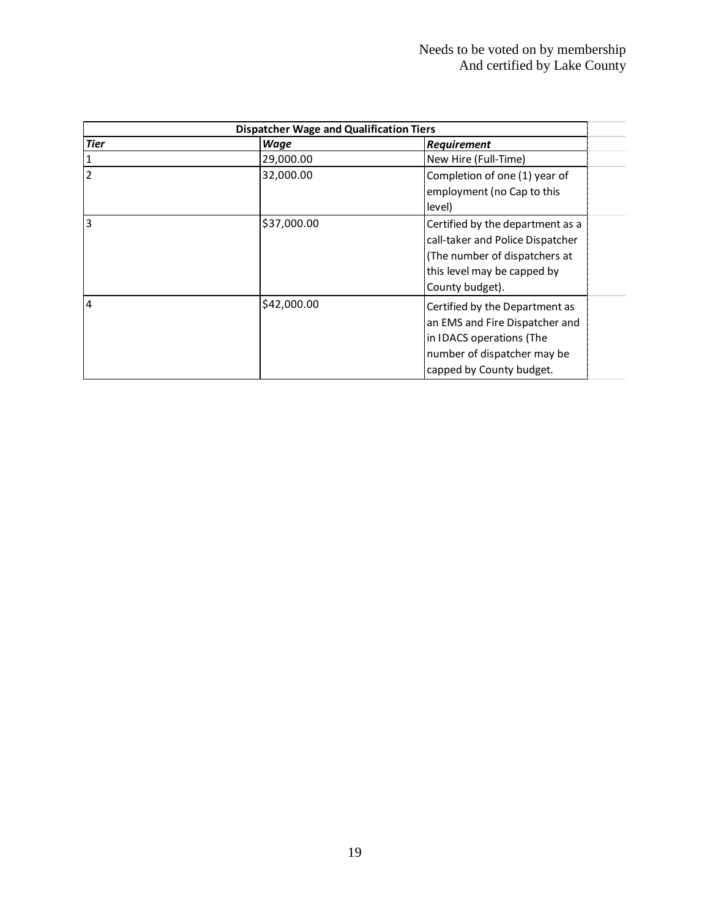| <b>Dispatcher Wage and Qualification Tiers</b> |             |                                                                                                                                                         |
|------------------------------------------------|-------------|---------------------------------------------------------------------------------------------------------------------------------------------------------|
| <b>Tier</b>                                    | <b>Wage</b> | Requirement                                                                                                                                             |
| 1                                              | 29,000.00   | New Hire (Full-Time)                                                                                                                                    |
| $\overline{2}$                                 | 32,000.00   | Completion of one (1) year of<br>employment (no Cap to this<br>level)                                                                                   |
| $\overline{3}$                                 | \$37,000.00 | Certified by the department as a<br>call-taker and Police Dispatcher<br>(The number of dispatchers at<br>this level may be capped by<br>County budget). |
| $\overline{4}$                                 | \$42,000.00 | Certified by the Department as<br>an EMS and Fire Dispatcher and<br>in IDACS operations (The<br>number of dispatcher may be<br>capped by County budget. |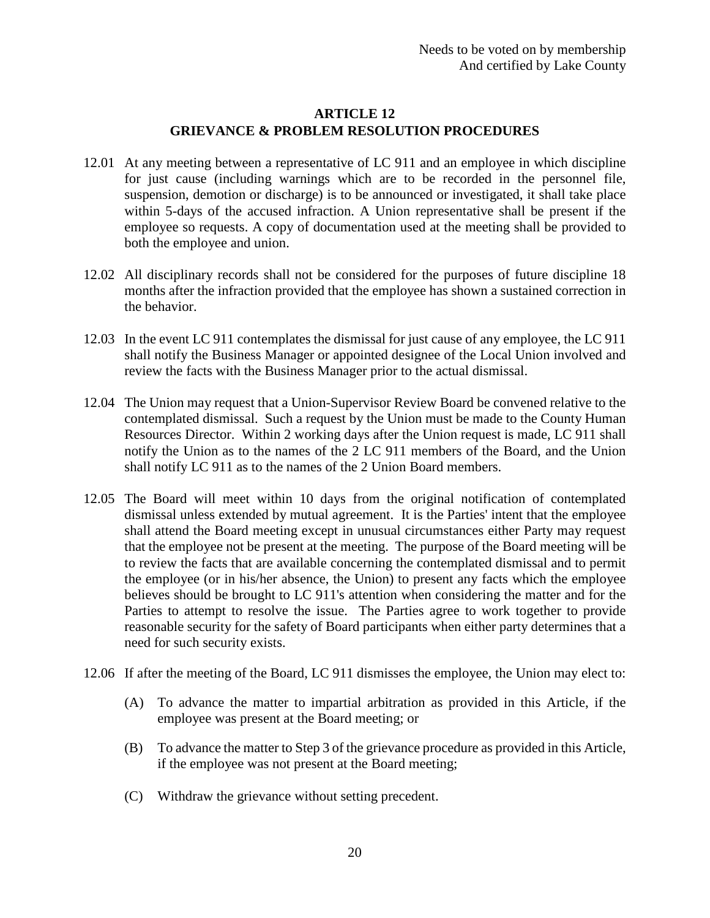## **ARTICLE 12 GRIEVANCE & PROBLEM RESOLUTION PROCEDURES**

- 12.01 At any meeting between a representative of LC 911 and an employee in which discipline for just cause (including warnings which are to be recorded in the personnel file, suspension, demotion or discharge) is to be announced or investigated, it shall take place within 5-days of the accused infraction. A Union representative shall be present if the employee so requests. A copy of documentation used at the meeting shall be provided to both the employee and union.
- 12.02 All disciplinary records shall not be considered for the purposes of future discipline 18 months after the infraction provided that the employee has shown a sustained correction in the behavior.
- 12.03 In the event LC 911 contemplates the dismissal for just cause of any employee, the LC 911 shall notify the Business Manager or appointed designee of the Local Union involved and review the facts with the Business Manager prior to the actual dismissal.
- 12.04 The Union may request that a Union-Supervisor Review Board be convened relative to the contemplated dismissal. Such a request by the Union must be made to the County Human Resources Director. Within 2 working days after the Union request is made, LC 911 shall notify the Union as to the names of the 2 LC 911 members of the Board, and the Union shall notify LC 911 as to the names of the 2 Union Board members.
- 12.05 The Board will meet within 10 days from the original notification of contemplated dismissal unless extended by mutual agreement. It is the Parties' intent that the employee shall attend the Board meeting except in unusual circumstances either Party may request that the employee not be present at the meeting. The purpose of the Board meeting will be to review the facts that are available concerning the contemplated dismissal and to permit the employee (or in his/her absence, the Union) to present any facts which the employee believes should be brought to LC 911's attention when considering the matter and for the Parties to attempt to resolve the issue. The Parties agree to work together to provide reasonable security for the safety of Board participants when either party determines that a need for such security exists.
- 12.06 If after the meeting of the Board, LC 911 dismisses the employee, the Union may elect to:
	- (A) To advance the matter to impartial arbitration as provided in this Article, if the employee was present at the Board meeting; or
	- (B) To advance the matter to Step 3 of the grievance procedure as provided in this Article, if the employee was not present at the Board meeting;
	- (C) Withdraw the grievance without setting precedent.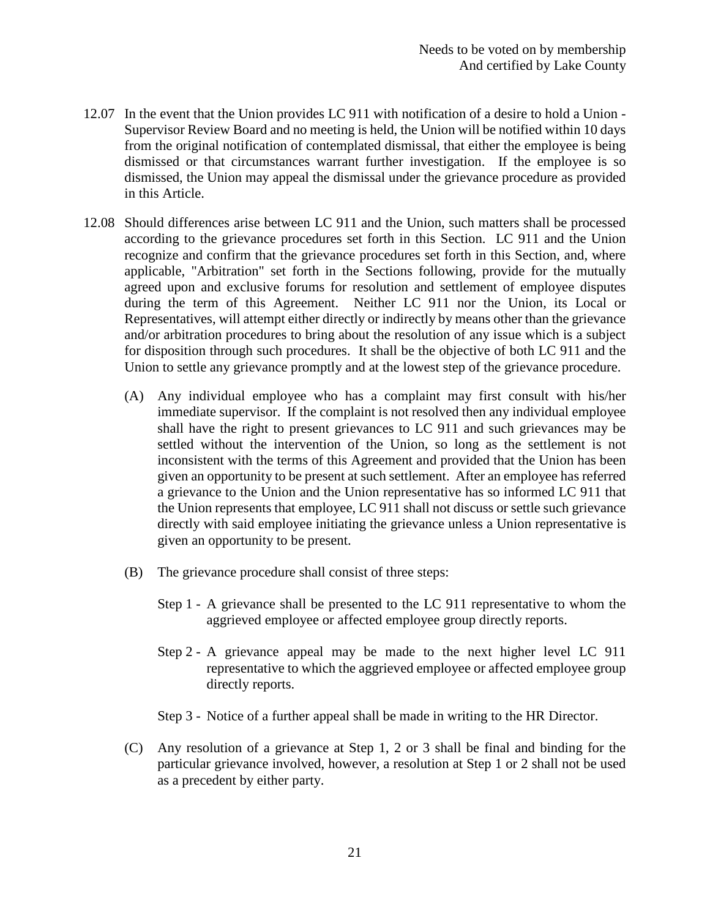- 12.07 In the event that the Union provides LC 911 with notification of a desire to hold a Union Supervisor Review Board and no meeting is held, the Union will be notified within 10 days from the original notification of contemplated dismissal, that either the employee is being dismissed or that circumstances warrant further investigation. If the employee is so dismissed, the Union may appeal the dismissal under the grievance procedure as provided in this Article.
- 12.08 Should differences arise between LC 911 and the Union, such matters shall be processed according to the grievance procedures set forth in this Section. LC 911 and the Union recognize and confirm that the grievance procedures set forth in this Section, and, where applicable, "Arbitration" set forth in the Sections following, provide for the mutually agreed upon and exclusive forums for resolution and settlement of employee disputes during the term of this Agreement. Neither LC 911 nor the Union, its Local or Representatives, will attempt either directly or indirectly by means other than the grievance and/or arbitration procedures to bring about the resolution of any issue which is a subject for disposition through such procedures. It shall be the objective of both LC 911 and the Union to settle any grievance promptly and at the lowest step of the grievance procedure.
	- (A) Any individual employee who has a complaint may first consult with his/her immediate supervisor. If the complaint is not resolved then any individual employee shall have the right to present grievances to LC 911 and such grievances may be settled without the intervention of the Union, so long as the settlement is not inconsistent with the terms of this Agreement and provided that the Union has been given an opportunity to be present at such settlement. After an employee has referred a grievance to the Union and the Union representative has so informed LC 911 that the Union represents that employee, LC 911 shall not discuss or settle such grievance directly with said employee initiating the grievance unless a Union representative is given an opportunity to be present.
	- (B) The grievance procedure shall consist of three steps:
		- Step 1 A grievance shall be presented to the LC 911 representative to whom the aggrieved employee or affected employee group directly reports.
		- Step 2 A grievance appeal may be made to the next higher level LC 911 representative to which the aggrieved employee or affected employee group directly reports.
		- Step 3 Notice of a further appeal shall be made in writing to the HR Director.
	- (C) Any resolution of a grievance at Step 1, 2 or 3 shall be final and binding for the particular grievance involved, however, a resolution at Step 1 or 2 shall not be used as a precedent by either party.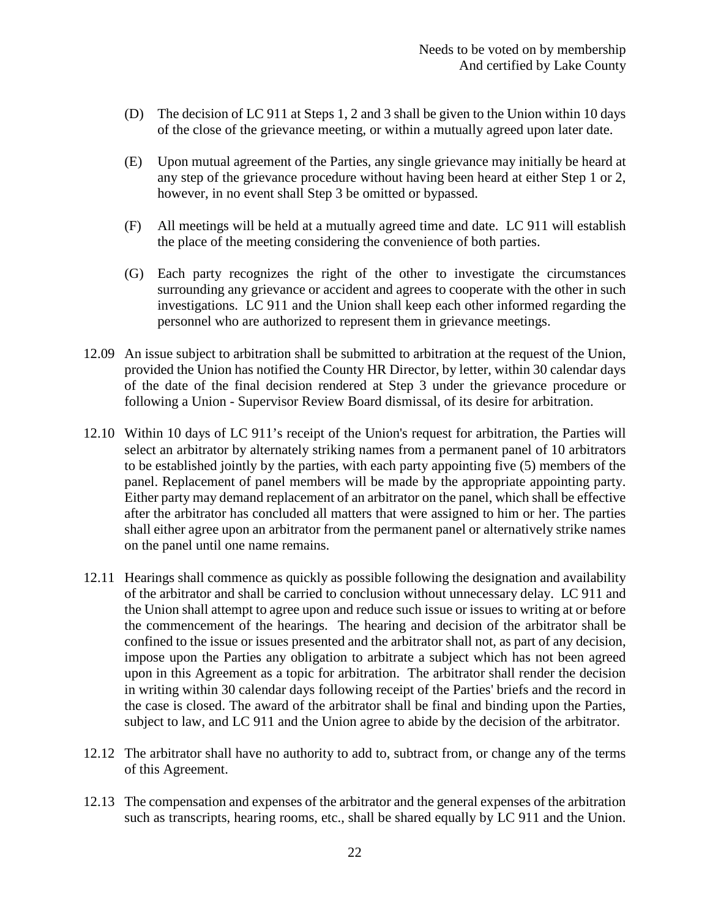- (D) The decision of LC 911 at Steps 1, 2 and 3 shall be given to the Union within 10 days of the close of the grievance meeting, or within a mutually agreed upon later date.
- (E) Upon mutual agreement of the Parties, any single grievance may initially be heard at any step of the grievance procedure without having been heard at either Step 1 or 2, however, in no event shall Step 3 be omitted or bypassed.
- (F) All meetings will be held at a mutually agreed time and date. LC 911 will establish the place of the meeting considering the convenience of both parties.
- (G) Each party recognizes the right of the other to investigate the circumstances surrounding any grievance or accident and agrees to cooperate with the other in such investigations. LC 911 and the Union shall keep each other informed regarding the personnel who are authorized to represent them in grievance meetings.
- 12.09 An issue subject to arbitration shall be submitted to arbitration at the request of the Union, provided the Union has notified the County HR Director, by letter, within 30 calendar days of the date of the final decision rendered at Step 3 under the grievance procedure or following a Union - Supervisor Review Board dismissal, of its desire for arbitration.
- 12.10 Within 10 days of LC 911's receipt of the Union's request for arbitration, the Parties will select an arbitrator by alternately striking names from a permanent panel of 10 arbitrators to be established jointly by the parties, with each party appointing five (5) members of the panel. Replacement of panel members will be made by the appropriate appointing party. Either party may demand replacement of an arbitrator on the panel, which shall be effective after the arbitrator has concluded all matters that were assigned to him or her. The parties shall either agree upon an arbitrator from the permanent panel or alternatively strike names on the panel until one name remains.
- 12.11 Hearings shall commence as quickly as possible following the designation and availability of the arbitrator and shall be carried to conclusion without unnecessary delay. LC 911 and the Union shall attempt to agree upon and reduce such issue or issues to writing at or before the commencement of the hearings. The hearing and decision of the arbitrator shall be confined to the issue or issues presented and the arbitrator shall not, as part of any decision, impose upon the Parties any obligation to arbitrate a subject which has not been agreed upon in this Agreement as a topic for arbitration. The arbitrator shall render the decision in writing within 30 calendar days following receipt of the Parties' briefs and the record in the case is closed. The award of the arbitrator shall be final and binding upon the Parties, subject to law, and LC 911 and the Union agree to abide by the decision of the arbitrator.
- 12.12 The arbitrator shall have no authority to add to, subtract from, or change any of the terms of this Agreement.
- 12.13 The compensation and expenses of the arbitrator and the general expenses of the arbitration such as transcripts, hearing rooms, etc., shall be shared equally by LC 911 and the Union.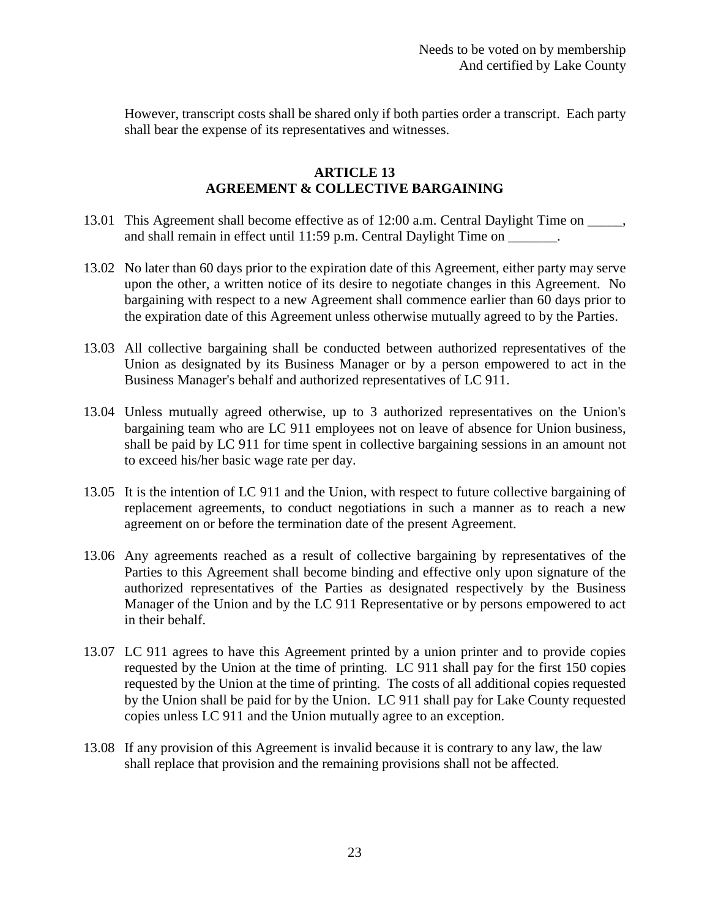However, transcript costs shall be shared only if both parties order a transcript. Each party shall bear the expense of its representatives and witnesses.

## **ARTICLE 13 AGREEMENT & COLLECTIVE BARGAINING**

- 13.01 This Agreement shall become effective as of 12:00 a.m. Central Daylight Time on \_\_\_\_\_, and shall remain in effect until 11:59 p.m. Central Daylight Time on  $\blacksquare$ .
- 13.02 No later than 60 days prior to the expiration date of this Agreement, either party may serve upon the other, a written notice of its desire to negotiate changes in this Agreement. No bargaining with respect to a new Agreement shall commence earlier than 60 days prior to the expiration date of this Agreement unless otherwise mutually agreed to by the Parties.
- 13.03 All collective bargaining shall be conducted between authorized representatives of the Union as designated by its Business Manager or by a person empowered to act in the Business Manager's behalf and authorized representatives of LC 911.
- 13.04 Unless mutually agreed otherwise, up to 3 authorized representatives on the Union's bargaining team who are LC 911 employees not on leave of absence for Union business, shall be paid by LC 911 for time spent in collective bargaining sessions in an amount not to exceed his/her basic wage rate per day.
- 13.05 It is the intention of LC 911 and the Union, with respect to future collective bargaining of replacement agreements, to conduct negotiations in such a manner as to reach a new agreement on or before the termination date of the present Agreement.
- 13.06 Any agreements reached as a result of collective bargaining by representatives of the Parties to this Agreement shall become binding and effective only upon signature of the authorized representatives of the Parties as designated respectively by the Business Manager of the Union and by the LC 911 Representative or by persons empowered to act in their behalf.
- 13.07 LC 911 agrees to have this Agreement printed by a union printer and to provide copies requested by the Union at the time of printing. LC 911 shall pay for the first 150 copies requested by the Union at the time of printing. The costs of all additional copies requested by the Union shall be paid for by the Union. LC 911 shall pay for Lake County requested copies unless LC 911 and the Union mutually agree to an exception.
- 13.08 If any provision of this Agreement is invalid because it is contrary to any law, the law shall replace that provision and the remaining provisions shall not be affected.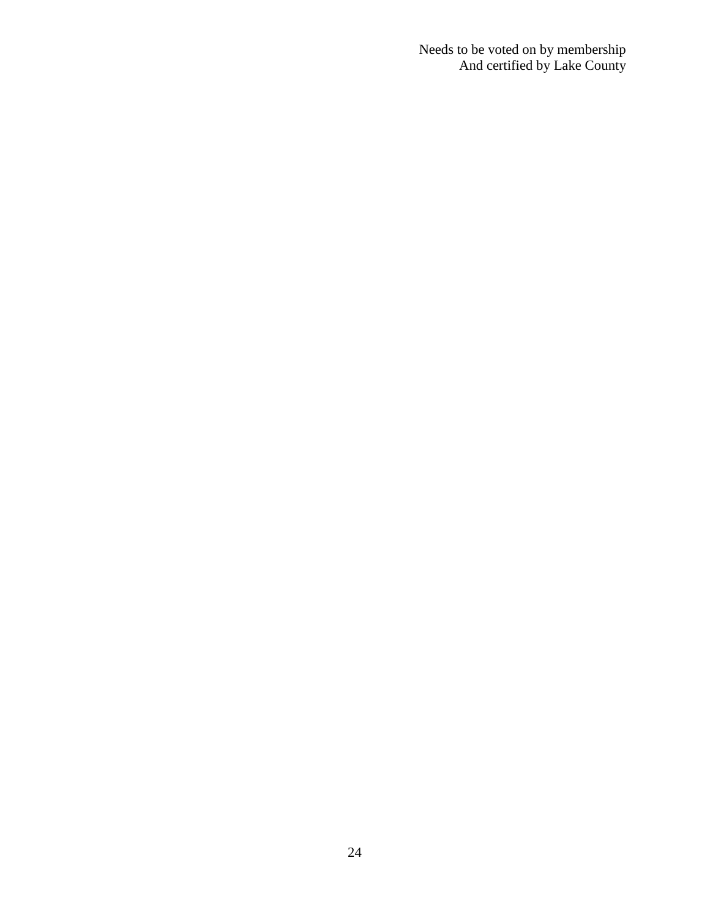Needs to be voted on by membership And certified by Lake County